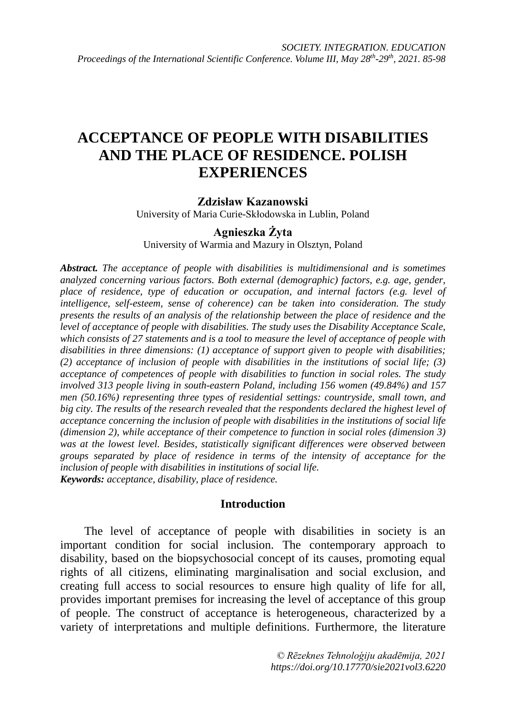# **ACCEPTANCE OF PEOPLE WITH DISABILITIES AND THE PLACE OF RESIDENCE. POLISH EXPERIENCES**

## **Zdzisław Kazanowski**

University of Maria Curie-Skłodowska in Lublin, Poland

## **Agnieszka Żyta**

University of Warmia and Mazury in Olsztyn, Poland

*Abstract. The acceptance of people with disabilities is multidimensional and is sometimes analyzed concerning various factors. Both external (demographic) factors, e.g. age, gender, place of residence, type of education or occupation, and internal factors (e.g. level of intelligence, self-esteem, sense of coherence) can be taken into consideration. The study presents the results of an analysis of the relationship between the place of residence and the level of acceptance of people with disabilities. The study uses the Disability Acceptance Scale, which consists of 27 statements and is a tool to measure the level of acceptance of people with disabilities in three dimensions: (1) acceptance of support given to people with disabilities; (2) acceptance of inclusion of people with disabilities in the institutions of social life; (3) acceptance of competences of people with disabilities to function in social roles. The study involved 313 people living in south-eastern Poland, including 156 women (49.84%) and 157 men (50.16%) representing three types of residential settings: countryside, small town, and big city. The results of the research revealed that the respondents declared the highest level of acceptance concerning the inclusion of people with disabilities in the institutions of social life (dimension 2), while acceptance of their competence to function in social roles (dimension 3) was at the lowest level. Besides, statistically significant differences were observed between groups separated by place of residence in terms of the intensity of acceptance for the inclusion of people with disabilities in institutions of social life. Keywords: acceptance, disability, place of residence.*

## **Introduction**

The level of acceptance of people with disabilities in society is an important condition for social inclusion. The contemporary approach to disability, based on the biopsychosocial concept of its causes, promoting equal rights of all citizens, eliminating marginalisation and social exclusion, and creating full access to social resources to ensure high quality of life for all, provides important premises for increasing the level of acceptance of this group of people. The construct of acceptance is heterogeneous, characterized by a variety of interpretations and multiple definitions. Furthermore, the literature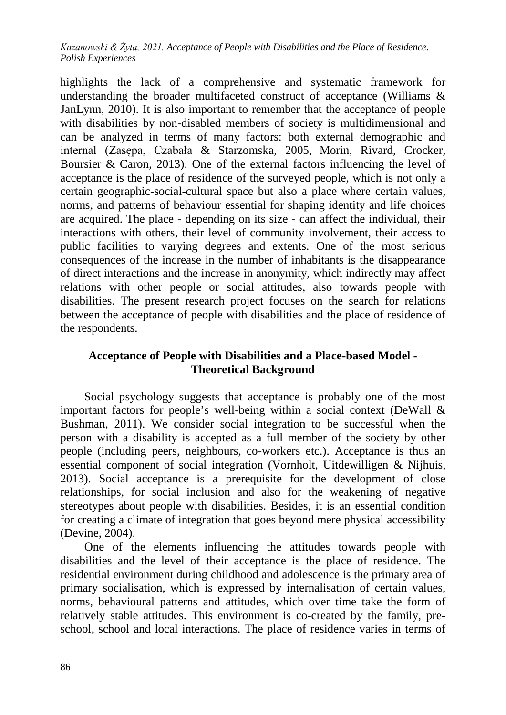highlights the lack of a comprehensive and systematic framework for understanding the broader multifaceted construct of acceptance (Williams & JanLynn, 2010). It is also important to remember that the acceptance of people with disabilities by non-disabled members of society is multidimensional and can be analyzed in terms of many factors: both external demographic and internal (Zasępa, Czabała & Starzomska, 2005, Morin, Rivard, Crocker, Boursier & Caron, 2013). One of the external factors influencing the level of acceptance is the place of residence of the surveyed people, which is not only a certain geographic-social-cultural space but also a place where certain values, norms, and patterns of behaviour essential for shaping identity and life choices are acquired. The place - depending on its size - can affect the individual, their interactions with others, their level of community involvement, their access to public facilities to varying degrees and extents. One of the most serious consequences of the increase in the number of inhabitants is the disappearance of direct interactions and the increase in anonymity, which indirectly may affect relations with other people or social attitudes, also towards people with disabilities. The present research project focuses on the search for relations between the acceptance of people with disabilities and the place of residence of the respondents.

## **Acceptance of People with Disabilities and a Place-based Model - Theoretical Background**

Social psychology suggests that acceptance is probably one of the most important factors for people's well-being within a social context (DeWall & Bushman, 2011). We consider social integration to be successful when the person with a disability is accepted as a full member of the society by other people (including peers, neighbours, co-workers etc.). Acceptance is thus an essential component of social integration (Vornholt, Uitdewilligen & Nijhuis, 2013). Social acceptance is a prerequisite for the development of close relationships, for social inclusion and also for the weakening of negative stereotypes about people with disabilities. Besides, it is an essential condition for creating a climate of integration that goes beyond mere physical accessibility (Devine, 2004).

One of the elements influencing the attitudes towards people with disabilities and the level of their acceptance is the place of residence. The residential environment during childhood and adolescence is the primary area of primary socialisation, which is expressed by internalisation of certain values, norms, behavioural patterns and attitudes, which over time take the form of relatively stable attitudes. This environment is co-created by the family, preschool, school and local interactions. The place of residence varies in terms of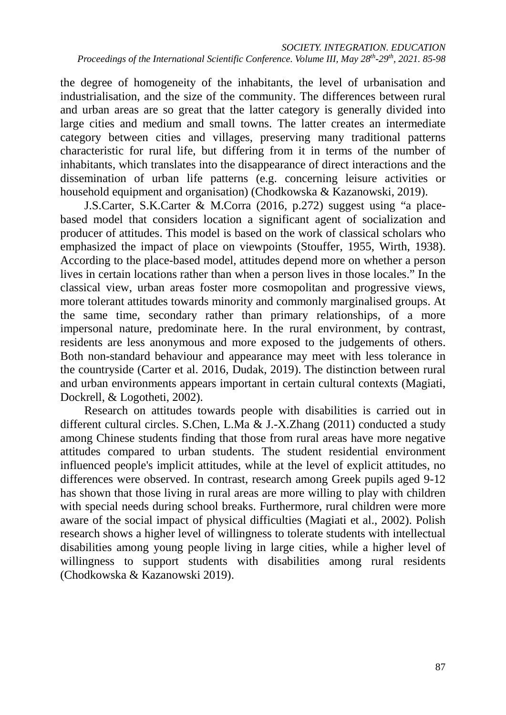the degree of homogeneity of the inhabitants, the level of urbanisation and industrialisation, and the size of the community. The differences between rural and urban areas are so great that the latter category is generally divided into large cities and medium and small towns. The latter creates an intermediate category between cities and villages, preserving many traditional patterns characteristic for rural life, but differing from it in terms of the number of inhabitants, which translates into the disappearance of direct interactions and the dissemination of urban life patterns (e.g. concerning leisure activities or household equipment and organisation) (Chodkowska & Kazanowski, 2019).

J.S.Carter, S.K.Carter & M.Corra (2016, p.272) suggest using "a placebased model that considers location a significant agent of socialization and producer of attitudes. This model is based on the work of classical scholars who emphasized the impact of place on viewpoints (Stouffer, 1955, Wirth, 1938). According to the place-based model, attitudes depend more on whether a person lives in certain locations rather than when a person lives in those locales." In the classical view, urban areas foster more cosmopolitan and progressive views, more tolerant attitudes towards minority and commonly marginalised groups. At the same time, secondary rather than primary relationships, of a more impersonal nature, predominate here. In the rural environment, by contrast, residents are less anonymous and more exposed to the judgements of others. Both non-standard behaviour and appearance may meet with less tolerance in the countryside (Carter et al. 2016, Dudak, 2019). The distinction between rural and urban environments appears important in certain cultural contexts (Magiati, Dockrell, & Logotheti, 2002).

Research on attitudes towards people with disabilities is carried out in different cultural circles. S.Chen, L.Ma & J.-X.Zhang (2011) conducted a study among Chinese students finding that those from rural areas have more negative attitudes compared to urban students. The student residential environment influenced people's implicit attitudes, while at the level of explicit attitudes, no differences were observed. In contrast, research among Greek pupils aged 9-12 has shown that those living in rural areas are more willing to play with children with special needs during school breaks. Furthermore, rural children were more aware of the social impact of physical difficulties (Magiati et al., 2002). Polish research shows a higher level of willingness to tolerate students with intellectual disabilities among young people living in large cities, while a higher level of willingness to support students with disabilities among rural residents (Chodkowska & Kazanowski 2019).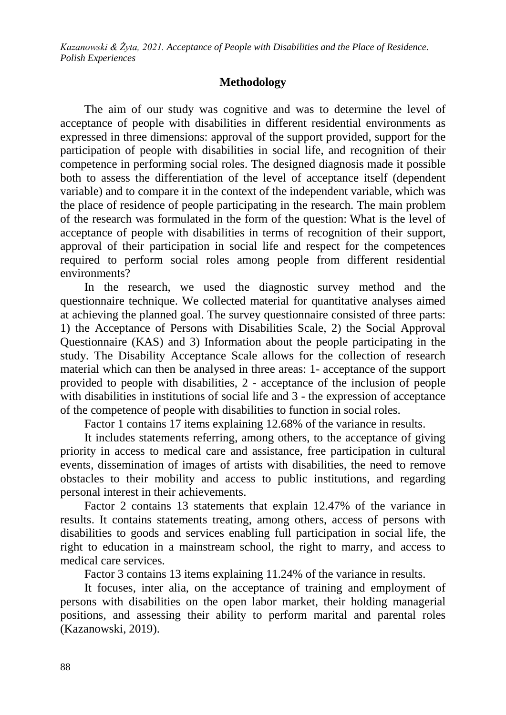## **Methodology**

The aim of our study was cognitive and was to determine the level of acceptance of people with disabilities in different residential environments as expressed in three dimensions: approval of the support provided, support for the participation of people with disabilities in social life, and recognition of their competence in performing social roles. The designed diagnosis made it possible both to assess the differentiation of the level of acceptance itself (dependent variable) and to compare it in the context of the independent variable, which was the place of residence of people participating in the research. The main problem of the research was formulated in the form of the question: What is the level of acceptance of people with disabilities in terms of recognition of their support, approval of their participation in social life and respect for the competences required to perform social roles among people from different residential environments?

In the research, we used the diagnostic survey method and the questionnaire technique. We collected material for quantitative analyses aimed at achieving the planned goal. The survey questionnaire consisted of three parts: 1) the Acceptance of Persons with Disabilities Scale, 2) the Social Approval Questionnaire (KAS) and 3) Information about the people participating in the study. The Disability Acceptance Scale allows for the collection of research material which can then be analysed in three areas: 1- acceptance of the support provided to people with disabilities, 2 - acceptance of the inclusion of people with disabilities in institutions of social life and 3 - the expression of acceptance of the competence of people with disabilities to function in social roles.

Factor 1 contains 17 items explaining 12.68% of the variance in results.

It includes statements referring, among others, to the acceptance of giving priority in access to medical care and assistance, free participation in cultural events, dissemination of images of artists with disabilities, the need to remove obstacles to their mobility and access to public institutions, and regarding personal interest in their achievements.

Factor 2 contains 13 statements that explain 12.47% of the variance in results. It contains statements treating, among others, access of persons with disabilities to goods and services enabling full participation in social life, the right to education in a mainstream school, the right to marry, and access to medical care services.

Factor 3 contains 13 items explaining 11.24% of the variance in results.

It focuses, inter alia, on the acceptance of training and employment of persons with disabilities on the open labor market, their holding managerial positions, and assessing their ability to perform marital and parental roles (Kazanowski, 2019).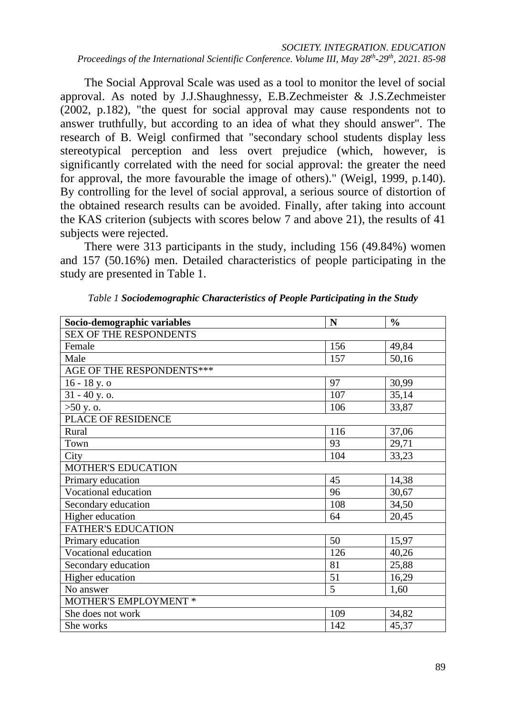The Social Approval Scale was used as a tool to monitor the level of social approval. As noted by J.J.Shaughnessy, E.B.Zechmeister & J.S.Zechmeister (2002, p.182), "the quest for social approval may cause respondents not to answer truthfully, but according to an idea of what they should answer". The research of B. Weigl confirmed that "secondary school students display less stereotypical perception and less overt prejudice (which, however, is significantly correlated with the need for social approval: the greater the need for approval, the more favourable the image of others)." (Weigl, 1999, p.140). By controlling for the level of social approval, a serious source of distortion of the obtained research results can be avoided. Finally, after taking into account the KAS criterion (subjects with scores below 7 and above 21), the results of 41 subjects were rejected.

There were 313 participants in the study, including 156 (49.84%) women and 157 (50.16%) men. Detailed characteristics of people participating in the study are presented in Table 1.

| Socio-demographic variables   | N   | $\frac{0}{0}$ |
|-------------------------------|-----|---------------|
| <b>SEX OF THE RESPONDENTS</b> |     |               |
| Female                        | 156 | 49,84         |
| Male                          | 157 | 50,16         |
| AGE OF THE RESPONDENTS***     |     |               |
| 16 - 18 y. o                  | 97  | 30,99         |
| 31 - 40 y. o.                 | 107 | 35,14         |
| $>50$ y. o.                   | 106 | 33,87         |
| PLACE OF RESIDENCE            |     |               |
| Rural                         | 116 | 37,06         |
| Town                          | 93  | 29,71         |
| City                          | 104 | 33,23         |
| <b>MOTHER'S EDUCATION</b>     |     |               |
| Primary education             | 45  | 14,38         |
| Vocational education          | 96  | 30,67         |
| Secondary education           | 108 | 34,50         |
| Higher education              | 64  | 20,45         |
| <b>FATHER'S EDUCATION</b>     |     |               |
| Primary education             | 50  | 15,97         |
| Vocational education          | 126 | 40,26         |
| Secondary education           | 81  | 25,88         |
| <b>Higher</b> education       | 51  | 16,29         |
| No answer                     | 5   | 1,60          |
| MOTHER'S EMPLOYMENT *         |     |               |
| She does not work             | 109 | 34,82         |
| She works                     | 142 | 45,37         |

*Table 1 Sociodemographic Characteristics of People Participating in the Study*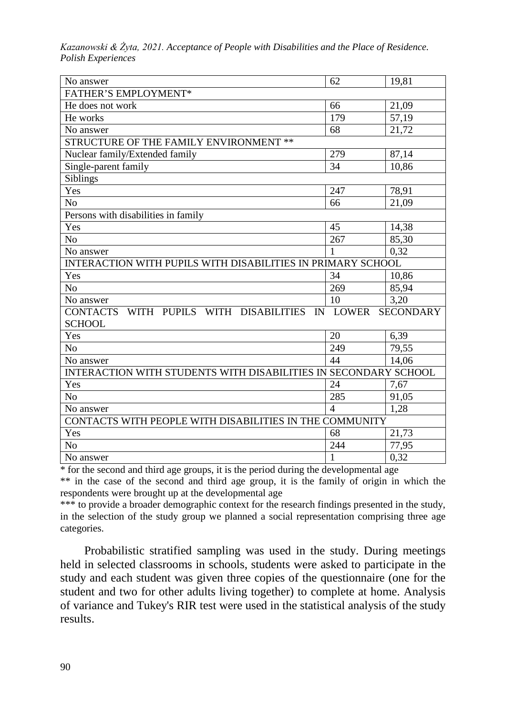| No answer                                                              | 62             | 19,81 |  |  |  |  |  |  |  |
|------------------------------------------------------------------------|----------------|-------|--|--|--|--|--|--|--|
| FATHER'S EMPLOYMENT*                                                   |                |       |  |  |  |  |  |  |  |
| He does not work                                                       | 66             | 21,09 |  |  |  |  |  |  |  |
| He works                                                               | 179            | 57,19 |  |  |  |  |  |  |  |
| No answer                                                              | 68             | 21,72 |  |  |  |  |  |  |  |
| STRUCTURE OF THE FAMILY ENVIRONMENT **                                 |                |       |  |  |  |  |  |  |  |
| Nuclear family/Extended family                                         | 279            | 87,14 |  |  |  |  |  |  |  |
| Single-parent family                                                   | 34             | 10,86 |  |  |  |  |  |  |  |
| Siblings                                                               |                |       |  |  |  |  |  |  |  |
| Yes                                                                    | 247            | 78,91 |  |  |  |  |  |  |  |
| N <sub>o</sub>                                                         | 66             | 21,09 |  |  |  |  |  |  |  |
| Persons with disabilities in family                                    |                |       |  |  |  |  |  |  |  |
| Yes                                                                    | 45             | 14,38 |  |  |  |  |  |  |  |
| N <sub>o</sub>                                                         | 267            | 85,30 |  |  |  |  |  |  |  |
| $\mathbf{1}$<br>0.32<br>No answer                                      |                |       |  |  |  |  |  |  |  |
| <b>INTERACTION WITH PUPILS WITH DISABILITIES IN PRIMARY SCHOOL</b>     |                |       |  |  |  |  |  |  |  |
| Yes                                                                    | 34             | 10,86 |  |  |  |  |  |  |  |
| N <sub>o</sub>                                                         | 269            | 85,94 |  |  |  |  |  |  |  |
| No answer                                                              | 10             | 3,20  |  |  |  |  |  |  |  |
| CONTACTS WITH PUPILS WITH DISABILITIES IN LOWER SECONDARY              |                |       |  |  |  |  |  |  |  |
| <b>SCHOOL</b>                                                          |                |       |  |  |  |  |  |  |  |
| Yes                                                                    | 20             | 6,39  |  |  |  |  |  |  |  |
| N <sub>o</sub>                                                         | 249            | 79,55 |  |  |  |  |  |  |  |
| No answer                                                              | 44             | 14,06 |  |  |  |  |  |  |  |
| <b>INTERACTION WITH STUDENTS WITH DISABILITIES IN SECONDARY SCHOOL</b> |                |       |  |  |  |  |  |  |  |
| Yes                                                                    | 24             | 7,67  |  |  |  |  |  |  |  |
| N <sub>o</sub>                                                         | 285            | 91,05 |  |  |  |  |  |  |  |
| No answer                                                              | $\overline{4}$ | 1,28  |  |  |  |  |  |  |  |
| CONTACTS WITH PEOPLE WITH DISABILITIES IN THE COMMUNITY                |                |       |  |  |  |  |  |  |  |
| Yes                                                                    | 68             | 21,73 |  |  |  |  |  |  |  |
| N <sub>o</sub>                                                         | 244            | 77,95 |  |  |  |  |  |  |  |
| No answer                                                              | $\mathbf{1}$   | 0,32  |  |  |  |  |  |  |  |

\* for the second and third age groups, it is the period during the developmental age

\*\* in the case of the second and third age group, it is the family of origin in which the respondents were brought up at the developmental age

\*\*\* to provide a broader demographic context for the research findings presented in the study, in the selection of the study group we planned a social representation comprising three age categories.

Probabilistic stratified sampling was used in the study. During meetings held in selected classrooms in schools, students were asked to participate in the study and each student was given three copies of the questionnaire (one for the student and two for other adults living together) to complete at home. Analysis of variance and Tukey's RIR test were used in the statistical analysis of the study results.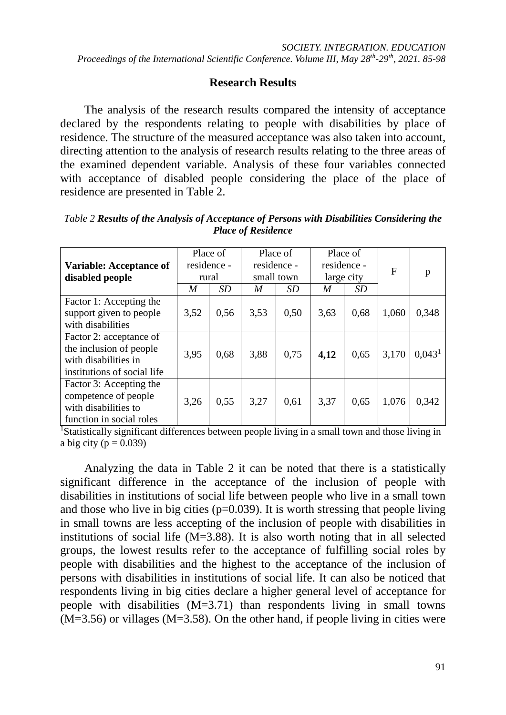## **Research Results**

The analysis of the research results compared the intensity of acceptance declared by the respondents relating to people with disabilities by place of residence. The structure of the measured acceptance was also taken into account, directing attention to the analysis of research results relating to the three areas of the examined dependent variable. Analysis of these four variables connected with acceptance of disabled people considering the place of the place of residence are presented in Table 2.

| <b>Variable: Acceptance of</b><br>disabled people                                                         | Place of<br>residence -<br>rural |      |      | Place of<br>residence -<br>small town |                  | Place of<br>residence -<br>large city | F     | p                  |
|-----------------------------------------------------------------------------------------------------------|----------------------------------|------|------|---------------------------------------|------------------|---------------------------------------|-------|--------------------|
|                                                                                                           | M                                | SD   | M    | SD                                    | $\boldsymbol{M}$ | SD                                    |       |                    |
| Factor 1: Accepting the<br>support given to people<br>with disabilities                                   | 3,52                             | 0,56 | 3,53 | 0,50                                  | 3,63             | 0,68                                  | 1,060 | 0,348              |
| Factor 2: acceptance of<br>the inclusion of people<br>with disabilities in<br>institutions of social life | 3,95                             | 0,68 | 3,88 | 0,75                                  | 4,12             | 0,65                                  | 3,170 | 0.043 <sup>1</sup> |
| Factor 3: Accepting the<br>competence of people<br>with disabilities to<br>function in social roles       | 3,26                             | 0,55 | 3,27 | 0,61                                  | 3,37             | 0,65                                  | 1,076 | 0,342              |

*Table 2 Results of the Analysis of Acceptance of Persons with Disabilities Considering the Place of Residence*

<sup>1</sup>Statistically significant differences between people living in a small town and those living in a big city ( $p = 0.039$ )

Analyzing the data in Table 2 it can be noted that there is a statistically significant difference in the acceptance of the inclusion of people with disabilities in institutions of social life between people who live in a small town and those who live in big cities ( $p=0.039$ ). It is worth stressing that people living in small towns are less accepting of the inclusion of people with disabilities in institutions of social life  $(M=3.88)$ . It is also worth noting that in all selected groups, the lowest results refer to the acceptance of fulfilling social roles by people with disabilities and the highest to the acceptance of the inclusion of persons with disabilities in institutions of social life. It can also be noticed that respondents living in big cities declare a higher general level of acceptance for people with disabilities (M=3.71) than respondents living in small towns  $(M=3.56)$  or villages  $(M=3.58)$ . On the other hand, if people living in cities were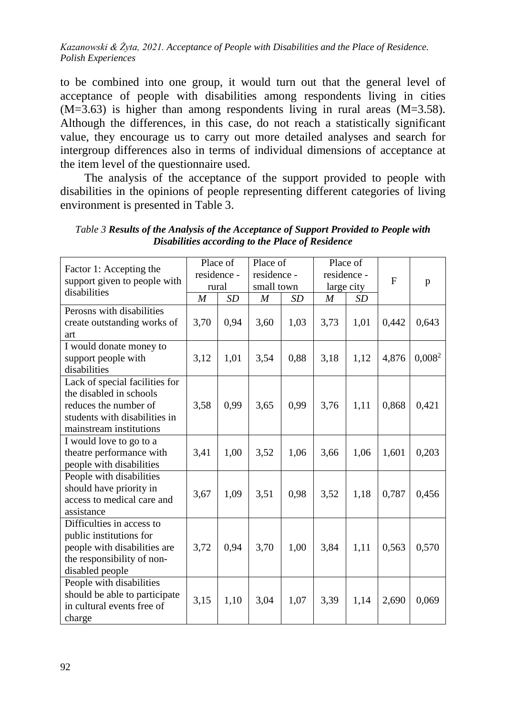to be combined into one group, it would turn out that the general level of acceptance of people with disabilities among respondents living in cities  $(M=3.63)$  is higher than among respondents living in rural areas  $(M=3.58)$ . Although the differences, in this case, do not reach a statistically significant value, they encourage us to carry out more detailed analyses and search for intergroup differences also in terms of individual dimensions of acceptance at the item level of the questionnaire used.

The analysis of the acceptance of the support provided to people with disabilities in the opinions of people representing different categories of living environment is presented in Table 3.

| Factor 1: Accepting the<br>support given to people with | residence -<br>rural | Place of  | Place of<br>Place of<br>residence -<br>residence -<br>small town<br>large city |           | $\mathbf{F}$ | $\mathbf{p}$ |       |           |
|---------------------------------------------------------|----------------------|-----------|--------------------------------------------------------------------------------|-----------|--------------|--------------|-------|-----------|
| disabilities                                            | $\boldsymbol{M}$     | <b>SD</b> | $\boldsymbol{M}$                                                               | <b>SD</b> | M            | <b>SD</b>    |       |           |
| Perosns with disabilities                               |                      |           |                                                                                |           |              |              |       |           |
| create outstanding works of                             | 3,70                 | 0,94      | 3,60                                                                           | 1,03      | 3,73         | 1,01         | 0,442 | 0,643     |
| art                                                     |                      |           |                                                                                |           |              |              |       |           |
| I would donate money to                                 |                      |           |                                                                                |           |              |              |       |           |
| support people with<br>disabilities                     | 3,12                 | 1,01      | 3,54                                                                           | 0,88      | 3,18         | 1,12         | 4,876 | $0,008^2$ |
| Lack of special facilities for                          |                      |           |                                                                                |           |              |              |       |           |
| the disabled in schools                                 |                      |           |                                                                                |           |              |              |       |           |
| reduces the number of                                   | 3,58                 | 0,99      | 3,65                                                                           | 0,99      | 3,76         | 1,11         | 0,868 | 0,421     |
| students with disabilities in                           |                      |           |                                                                                |           |              |              |       |           |
| mainstream institutions                                 |                      |           |                                                                                |           |              |              |       |           |
| I would love to go to a                                 |                      |           |                                                                                |           |              |              |       |           |
| theatre performance with                                | 3,41                 | 1,00      | 3,52                                                                           | 1,06      | 3,66         | 1,06         | 1,601 | 0,203     |
| people with disabilities                                |                      |           |                                                                                |           |              |              |       |           |
| People with disabilities<br>should have priority in     |                      |           |                                                                                |           |              |              |       |           |
| access to medical care and                              | 3,67                 | 1,09      | 3,51                                                                           | 0,98      | 3,52         | 1,18         | 0,787 | 0,456     |
| assistance                                              |                      |           |                                                                                |           |              |              |       |           |
| Difficulties in access to                               |                      |           |                                                                                |           |              |              |       |           |
| public institutions for                                 |                      |           |                                                                                |           |              |              |       |           |
| people with disabilities are                            | 3,72                 | 0,94      | 3,70                                                                           | 1,00      | 3,84         | 1,11         | 0,563 | 0,570     |
| the responsibility of non-                              |                      |           |                                                                                |           |              |              |       |           |
| disabled people                                         |                      |           |                                                                                |           |              |              |       |           |
| People with disabilities                                |                      |           |                                                                                |           |              |              |       |           |
| should be able to participate                           | 3,15                 | 1,10      | 3,04                                                                           | 1,07      | 3,39         | 1,14         | 2,690 | 0,069     |
| in cultural events free of                              |                      |           |                                                                                |           |              |              |       |           |
| charge                                                  |                      |           |                                                                                |           |              |              |       |           |

*Table 3 Results of the Analysis of the Acceptance of Support Provided to People with Disabilities according to the Place of Residence*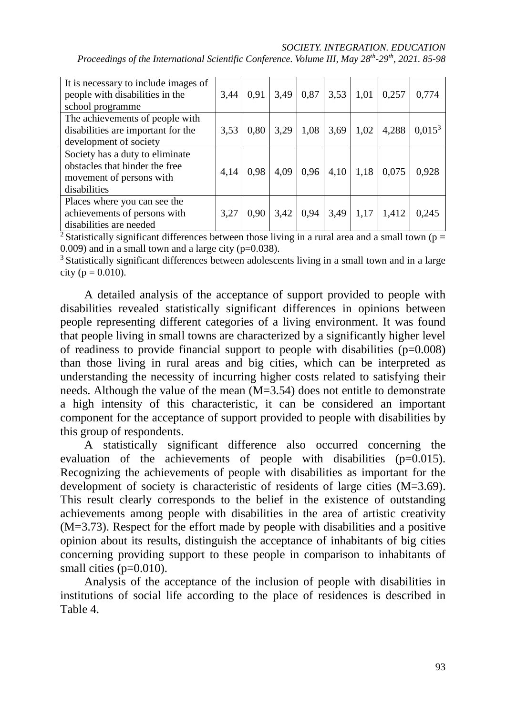#### *SOCIETY. INTEGRATION. EDUCATION*

| It is necessary to include images of |      |      |      |      |      |      |       |           |
|--------------------------------------|------|------|------|------|------|------|-------|-----------|
| people with disabilities in the      | 3,44 | 0,91 | 3,49 | 0,87 | 3,53 | 1,01 | 0,257 | 0,774     |
| school programme                     |      |      |      |      |      |      |       |           |
| The achievements of people with      |      |      |      |      |      |      |       |           |
| disabilities are important for the   | 3,53 | 0,80 | 3,29 | 1,08 | 3,69 | 1,02 | 4,288 | $0,015^3$ |
| development of society               |      |      |      |      |      |      |       |           |
| Society has a duty to eliminate      |      |      |      |      |      |      |       |           |
| obstacles that hinder the free       | 4,14 | 0,98 | 4,09 | 0,96 | 4,10 | 1,18 | 0,075 | 0,928     |
| movement of persons with             |      |      |      |      |      |      |       |           |
| disabilities                         |      |      |      |      |      |      |       |           |
| Places where you can see the         |      |      |      |      |      |      |       |           |
| achievements of persons with         | 3,27 | 0,90 | 3,42 | 0,94 | 3,49 | 1,17 | 1,412 | 0,245     |
| disabilities are needed              |      |      |      |      |      |      |       |           |

*Proceedings of the International Scientific Conference. Volume III, May 28th-29th, 2021. 85-98*

<sup>2</sup> Statistically significant differences between those living in a rural area and a small town ( $p =$ 0.009) and in a small town and a large city  $(p=0.038)$ .

<sup>3</sup> Statistically significant differences between adolescents living in a small town and in a large city ( $p = 0.010$ ).

A detailed analysis of the acceptance of support provided to people with disabilities revealed statistically significant differences in opinions between people representing different categories of a living environment. It was found that people living in small towns are characterized by a significantly higher level of readiness to provide financial support to people with disabilities  $(p=0.008)$ than those living in rural areas and big cities, which can be interpreted as understanding the necessity of incurring higher costs related to satisfying their needs. Although the value of the mean (M=3.54) does not entitle to demonstrate a high intensity of this characteristic, it can be considered an important component for the acceptance of support provided to people with disabilities by this group of respondents.

A statistically significant difference also occurred concerning the evaluation of the achievements of people with disabilities (p=0.015). Recognizing the achievements of people with disabilities as important for the development of society is characteristic of residents of large cities (M=3.69). This result clearly corresponds to the belief in the existence of outstanding achievements among people with disabilities in the area of artistic creativity (M=3.73). Respect for the effort made by people with disabilities and a positive opinion about its results, distinguish the acceptance of inhabitants of big cities concerning providing support to these people in comparison to inhabitants of small cities (p=0.010).

Analysis of the acceptance of the inclusion of people with disabilities in institutions of social life according to the place of residences is described in Table 4.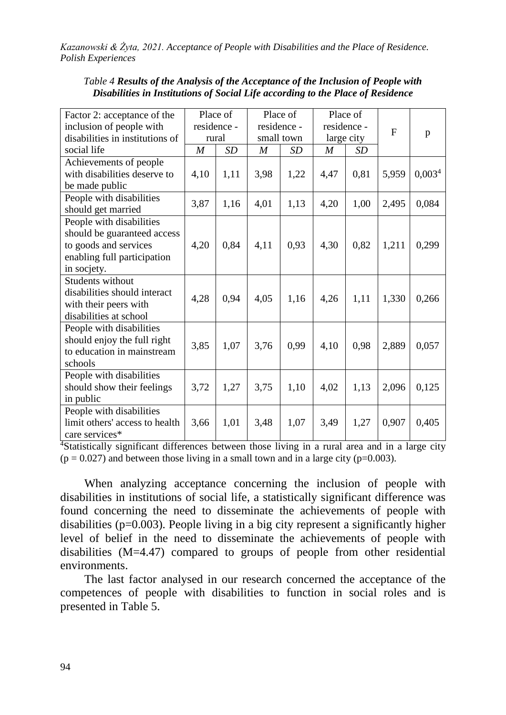| Factor 2: acceptance of the     |                  | Place of                                  |                          | Place of |                  | Place of  |       |                    |
|---------------------------------|------------------|-------------------------------------------|--------------------------|----------|------------------|-----------|-------|--------------------|
| inclusion of people with        |                  | residence -<br>residence -<br>residence - |                          |          | $\mathbf F$      |           |       |                    |
| disabilities in institutions of | rural            |                                           | small town<br>large city |          |                  | p         |       |                    |
| social life                     | $\boldsymbol{M}$ | SD                                        | $\overline{M}$           | SD       | $\boldsymbol{M}$ | <b>SD</b> |       |                    |
| Achievements of people          |                  |                                           |                          |          |                  |           |       |                    |
| with disabilities deserve to    | 4,10             | 1,11                                      | 3,98                     | 1,22     | 4,47             | 0,81      | 5,959 | 0,003 <sup>4</sup> |
| be made public                  |                  |                                           |                          |          |                  |           |       |                    |
| People with disabilities        | 3,87             | 1,16                                      | 4,01                     | 1,13     | 4,20             | 1,00      |       | 0,084              |
| should get married              |                  |                                           |                          |          |                  |           | 2,495 |                    |
| People with disabilities        |                  |                                           |                          |          |                  |           |       |                    |
| should be guaranteed access     |                  |                                           |                          |          |                  |           |       |                    |
| to goods and services           | 4,20             | 0,84                                      | 4,11                     | 0,93     | 4,30             | 0,82      | 1,211 | 0,299              |
| enabling full participation     |                  |                                           |                          |          |                  |           |       |                    |
| in socjety.                     |                  |                                           |                          |          |                  |           |       |                    |
| Students without                |                  |                                           |                          |          |                  |           |       |                    |
| disabilities should interact    |                  | 0,94                                      | 4,05                     |          |                  |           |       |                    |
| with their peers with           | 4,28             |                                           |                          | 1,16     | 4,26             | 1,11      | 1,330 | 0,266              |
| disabilities at school          |                  |                                           |                          |          |                  |           |       |                    |
| People with disabilities        |                  |                                           |                          |          |                  |           |       |                    |
| should enjoy the full right     |                  |                                           |                          | 0,99     |                  | 0,98      |       |                    |
| to education in mainstream      | 3,85             | 1,07                                      | 3,76                     |          | 4,10             |           | 2,889 | 0,057              |
| schools                         |                  |                                           |                          |          |                  |           |       |                    |
| People with disabilities        |                  |                                           |                          |          |                  |           |       |                    |
| should show their feelings      | 3,72             | 1,27                                      | 3,75                     | 1,10     | 4,02             | 1,13      | 2,096 | 0,125              |
| in public                       |                  |                                           |                          |          |                  |           |       |                    |
| People with disabilities        |                  |                                           |                          |          |                  |           |       |                    |
| limit others' access to health  | 3,66             | 1,01                                      | 3,48                     | 1,07     | 3,49             | 1,27      | 0,907 | 0,405              |
| care services*                  |                  |                                           |                          |          |                  |           |       |                    |

*Table 4 Results of the Analysis of the Acceptance of the Inclusion of People with Disabilities in Institutions of Social Life according to the Place of Residence*

<sup>4</sup>Statistically significant differences between those living in a rural area and in a large city  $(p = 0.027)$  and between those living in a small town and in a large city (p=0.003).

When analyzing acceptance concerning the inclusion of people with disabilities in institutions of social life, a statistically significant difference was found concerning the need to disseminate the achievements of people with disabilities (p=0.003). People living in a big city represent a significantly higher level of belief in the need to disseminate the achievements of people with disabilities (M=4.47) compared to groups of people from other residential environments.

The last factor analysed in our research concerned the acceptance of the competences of people with disabilities to function in social roles and is presented in Table 5.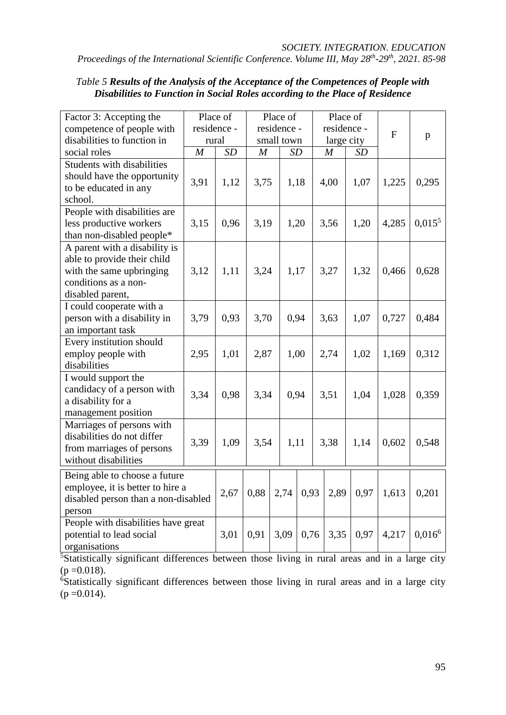| Factor 3: Accepting the<br>competence of people with<br>disabilities to function in                                                  | residence -<br>rural | Place of |      | Place of<br>residence -<br>small town |      | Place of<br>residence -<br>large city |      | $\mathbf{F}$ | $\mathbf{p}$ |
|--------------------------------------------------------------------------------------------------------------------------------------|----------------------|----------|------|---------------------------------------|------|---------------------------------------|------|--------------|--------------|
| social roles                                                                                                                         | $\boldsymbol{M}$     | SD       | M    |                                       | SD   | $\boldsymbol{M}$                      | SD   |              |              |
| <b>Students with disabilities</b><br>should have the opportunity<br>to be educated in any<br>school.                                 | 3,91                 | 1,12     | 3,75 |                                       | 1,18 | 4,00                                  | 1,07 | 1,225        | 0,295        |
| People with disabilities are<br>less productive workers<br>than non-disabled people*                                                 | 3,15                 | 0,96     | 3,19 |                                       | 1,20 | 3,56                                  | 1,20 | 4,285        | $0,015^5$    |
| A parent with a disability is<br>able to provide their child<br>with the same upbringing<br>conditions as a non-<br>disabled parent, | 3,12                 | 1,11     | 3,24 |                                       | 1,17 | 3,27                                  | 1,32 | 0,466        | 0,628        |
| I could cooperate with a<br>person with a disability in<br>an important task                                                         | 3,79                 | 0,93     | 3,70 |                                       | 0,94 | 3,63                                  | 1,07 | 0,727        | 0,484        |
| Every institution should<br>employ people with<br>disabilities                                                                       | 2,95                 | 1,01     | 2,87 |                                       | 1,00 | 2,74                                  | 1,02 | 1,169        | 0,312        |
| I would support the<br>candidacy of a person with<br>a disability for a<br>management position                                       | 3,34                 | 0,98     | 3,34 |                                       | 0,94 | 3,51                                  | 1,04 | 1,028        | 0,359        |
| Marriages of persons with<br>disabilities do not differ<br>from marriages of persons<br>without disabilities                         | 3,39                 | 1,09     | 3,54 |                                       | 1,11 | 3,38                                  | 1,14 | 0,602        | 0,548        |
| Being able to choose a future<br>employee, it is better to hire a<br>disabled person than a non-disabled<br>person                   |                      | 2,67     | 0,88 | 2,74                                  | 0,93 | 2,89                                  | 0,97 | 1,613        | 0,201        |
| People with disabilities have great<br>potential to lead social<br>organisations                                                     |                      | 3,01     | 0,91 | 3,09                                  | 0,76 | 3,35                                  | 0,97 | 4,217        | $0,016^6$    |

### *Table 5 Results of the Analysis of the Acceptance of the Competences of People with Disabilities to Function in Social Roles according to the Place of Residence*

<sup>5</sup>Statistically significant differences between those living in rural areas and in a large city  $(p = 0.018)$ .

6 Statistically significant differences between those living in rural areas and in a large city  $(p = 0.014)$ .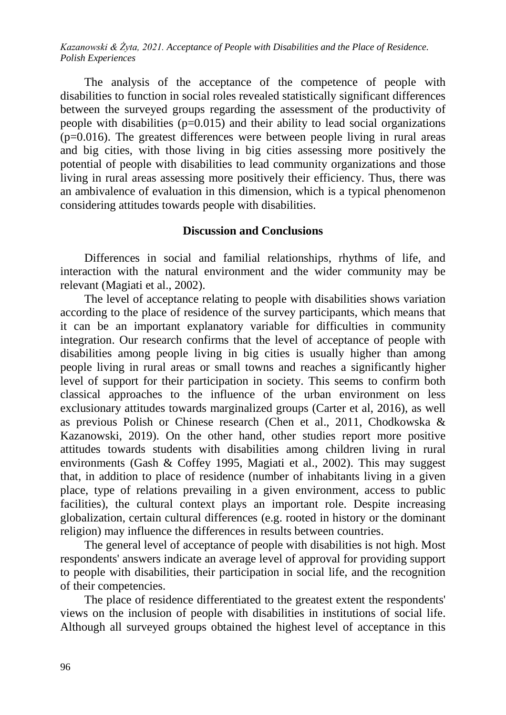The analysis of the acceptance of the competence of people with disabilities to function in social roles revealed statistically significant differences between the surveyed groups regarding the assessment of the productivity of people with disabilities  $(p=0.015)$  and their ability to lead social organizations  $(p=0.016)$ . The greatest differences were between people living in rural areas and big cities, with those living in big cities assessing more positively the potential of people with disabilities to lead community organizations and those living in rural areas assessing more positively their efficiency. Thus, there was an ambivalence of evaluation in this dimension, which is a typical phenomenon considering attitudes towards people with disabilities.

#### **Discussion and Conclusions**

Differences in social and familial relationships, rhythms of life, and interaction with the natural environment and the wider community may be relevant (Magiati et al., 2002).

The level of acceptance relating to people with disabilities shows variation according to the place of residence of the survey participants, which means that it can be an important explanatory variable for difficulties in community integration. Our research confirms that the level of acceptance of people with disabilities among people living in big cities is usually higher than among people living in rural areas or small towns and reaches a significantly higher level of support for their participation in society. This seems to confirm both classical approaches to the influence of the urban environment on less exclusionary attitudes towards marginalized groups (Carter et al, 2016), as well as previous Polish or Chinese research (Chen et al., 2011, Chodkowska & Kazanowski, 2019). On the other hand, other studies report more positive attitudes towards students with disabilities among children living in rural environments (Gash & Coffey 1995, Magiati et al., 2002). This may suggest that, in addition to place of residence (number of inhabitants living in a given place, type of relations prevailing in a given environment, access to public facilities), the cultural context plays an important role. Despite increasing globalization, certain cultural differences (e.g. rooted in history or the dominant religion) may influence the differences in results between countries.

The general level of acceptance of people with disabilities is not high. Most respondents' answers indicate an average level of approval for providing support to people with disabilities, their participation in social life, and the recognition of their competencies.

The place of residence differentiated to the greatest extent the respondents' views on the inclusion of people with disabilities in institutions of social life. Although all surveyed groups obtained the highest level of acceptance in this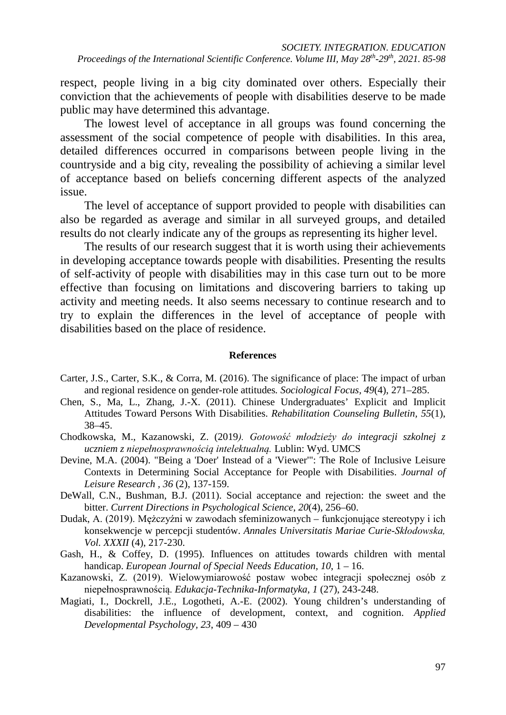respect, people living in a big city dominated over others. Especially their conviction that the achievements of people with disabilities deserve to be made public may have determined this advantage.

The lowest level of acceptance in all groups was found concerning the assessment of the social competence of people with disabilities. In this area, detailed differences occurred in comparisons between people living in the countryside and a big city, revealing the possibility of achieving a similar level of acceptance based on beliefs concerning different aspects of the analyzed issue.

The level of acceptance of support provided to people with disabilities can also be regarded as average and similar in all surveyed groups, and detailed results do not clearly indicate any of the groups as representing its higher level.

The results of our research suggest that it is worth using their achievements in developing acceptance towards people with disabilities. Presenting the results of self-activity of people with disabilities may in this case turn out to be more effective than focusing on limitations and discovering barriers to taking up activity and meeting needs. It also seems necessary to continue research and to try to explain the differences in the level of acceptance of people with disabilities based on the place of residence.

#### **References**

- Carter, J.S., Carter, S.K., & Corra, M. (2016). The significance of place: The impact of urban and regional residence on gender-role attitudes*. Sociological Focus, 49*(4), 271–285.
- Chen, S., Ma, L., Zhang, J.-X. (2011). Chinese Undergraduates' Explicit and Implicit Attitudes Toward Persons With Disabilities. *Rehabilitation Counseling Bulletin, 55*(1), 38–45.
- Chodkowska, M., Kazanowski, Z. (2019*). Gotowość młodzieży do integracji szkolnej z uczniem z niepełnosprawnością intelektualną.* Lublin: Wyd. UMCS
- Devine, M.A. (2004). "Being a 'Doer' Instead of a 'Viewer'": The Role of Inclusive Leisure Contexts in Determining Social Acceptance for People with Disabilities. *Journal of Leisure Research , 36* (2), 137-159.
- DeWall, C.N., Bushman, B.J. (2011). Social acceptance and rejection: the sweet and the bitter. *Current Directions in Psychological Science*, *20*(4), 256–60.
- Dudak, A. (2019). Mężczyźni w zawodach sfeminizowanych funkcjonujące stereotypy i ich konsekwencje w percepcji studentów. *Annales Universitatis Mariae Curie-Skłodowska, Vol. XXXII* (4), 217-230.
- Gash, H., & Coffey, D. (1995). Influences on attitudes towards children with mental handicap. *European Journal of Special Needs Education, 10*, 1 – 16.
- Kazanowski, Z. (2019). Wielowymiarowość postaw wobec integracji społecznej osób z niepełnosprawnością. *Edukacja-Technika-Informatyka*, *1* (27), 243-248.
- Magiati, I., Dockrell, J.E., Logotheti, A.-E. (2002). Young children's understanding of disabilities: the influence of development, context, and cognition. *Applied Developmental Psychology, 23*, 409 – 430